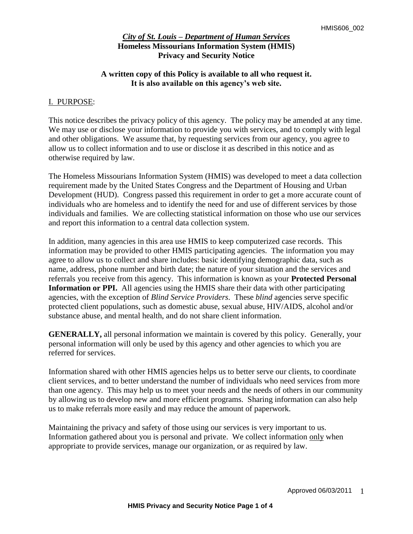## **A written copy of this Policy is available to all who request it. It is also available on this agency's web site.**

### I. PURPOSE:

This notice describes the privacy policy of this agency. The policy may be amended at any time. We may use or disclose your information to provide you with services, and to comply with legal and other obligations. We assume that, by requesting services from our agency, you agree to allow us to collect information and to use or disclose it as described in this notice and as otherwise required by law.

The Homeless Missourians Information System (HMIS) was developed to meet a data collection requirement made by the United States Congress and the Department of Housing and Urban Development (HUD). Congress passed this requirement in order to get a more accurate count of individuals who are homeless and to identify the need for and use of different services by those individuals and families. We are collecting statistical information on those who use our services and report this information to a central data collection system.

In addition, many agencies in this area use HMIS to keep computerized case records. This information may be provided to other HMIS participating agencies. The information you may agree to allow us to collect and share includes: basic identifying demographic data, such as name, address, phone number and birth date; the nature of your situation and the services and referrals you receive from this agency. This information is known as your **Protected Personal Information or PPI.** All agencies using the HMIS share their data with other participating agencies, with the exception of *Blind Service Providers*. These *blind* agencies serve specific protected client populations, such as domestic abuse, sexual abuse, HIV/AIDS, alcohol and/or substance abuse, and mental health, and do not share client information.

**GENERALLY,** all personal information we maintain is covered by this policy. Generally, your personal information will only be used by this agency and other agencies to which you are referred for services.

Information shared with other HMIS agencies helps us to better serve our clients, to coordinate client services, and to better understand the number of individuals who need services from more than one agency. This may help us to meet your needs and the needs of others in our community by allowing us to develop new and more efficient programs. Sharing information can also help us to make referrals more easily and may reduce the amount of paperwork.

Maintaining the privacy and safety of those using our services is very important to us. Information gathered about you is personal and private. We collect information only when appropriate to provide services, manage our organization, or as required by law.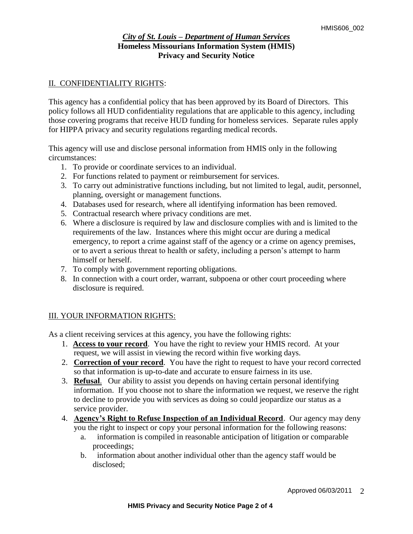## II. CONFIDENTIALITY RIGHTS:

This agency has a confidential policy that has been approved by its Board of Directors. This policy follows all HUD confidentiality regulations that are applicable to this agency, including those covering programs that receive HUD funding for homeless services. Separate rules apply for HIPPA privacy and security regulations regarding medical records.

This agency will use and disclose personal information from HMIS only in the following circumstances:

- 1. To provide or coordinate services to an individual.
- 2. For functions related to payment or reimbursement for services.
- 3. To carry out administrative functions including, but not limited to legal, audit, personnel, planning, oversight or management functions.
- 4. Databases used for research, where all identifying information has been removed.
- 5. Contractual research where privacy conditions are met.
- 6. Where a disclosure is required by law and disclosure complies with and is limited to the requirements of the law. Instances where this might occur are during a medical emergency, to report a crime against staff of the agency or a crime on agency premises, or to avert a serious threat to health or safety, including a person's attempt to harm himself or herself.
- 7. To comply with government reporting obligations.
- 8. In connection with a court order, warrant, subpoena or other court proceeding where disclosure is required.

# III. YOUR INFORMATION RIGHTS:

As a client receiving services at this agency, you have the following rights:

- 1. **Access to your record**. You have the right to review your HMIS record. At your request, we will assist in viewing the record within five working days.
- 2. **Correction of your record**. You have the right to request to have your record corrected so that information is up-to-date and accurate to ensure fairness in its use.
- 3. **Refusal**. Our ability to assist you depends on having certain personal identifying information. If you choose not to share the information we request, we reserve the right to decline to provide you with services as doing so could jeopardize our status as a service provider.
- 4. **Agency's Right to Refuse Inspection of an Individual Record**. Our agency may deny you the right to inspect or copy your personal information for the following reasons:
	- a. information is compiled in reasonable anticipation of litigation or comparable proceedings;
	- b. information about another individual other than the agency staff would be disclosed;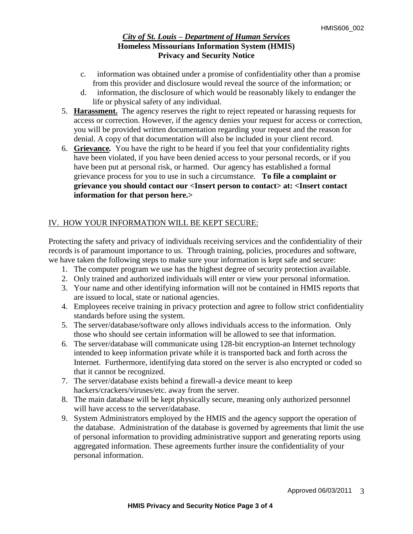- c. information was obtained under a promise of confidentiality other than a promise from this provider and disclosure would reveal the source of the information; or
- d. information, the disclosure of which would be reasonably likely to endanger the life or physical safety of any individual.
- 5. **Harassment.**The agency reserves the right to reject repeated or harassing requests for access or correction. However, if the agency denies your request for access or correction, you will be provided written documentation regarding your request and the reason for denial. A copy of that documentation will also be included in your client record.
- 6. **Grievance***.* You have the right to be heard if you feel that your confidentiality rights have been violated, if you have been denied access to your personal records, or if you have been put at personal risk, or harmed. Our agency has established a formal grievance process for you to use in such a circumstance.**To file a complaint or grievance you should contact our <Insert person to contact> at: <Insert contact information for that person here.>**

# IV. HOW YOUR INFORMATION WILL BE KEPT SECURE:

Protecting the safety and privacy of individuals receiving services and the confidentiality of their records is of paramount importance to us. Through training, policies, procedures and software, we have taken the following steps to make sure your information is kept safe and secure:

- 1. The computer program we use has the highest degree of security protection available.
- 2. Only trained and authorized individuals will enter or view your personal information.
- 3. Your name and other identifying information will not be contained in HMIS reports that are issued to local, state or national agencies.
- 4. Employees receive training in privacy protection and agree to follow strict confidentiality standards before using the system.
- 5. The server/database/software only allows individuals access to the information. Only those who should see certain information will be allowed to see that information.
- 6. The server/database will communicate using 128-bit encryption-an Internet technology intended to keep information private while it is transported back and forth across the Internet. Furthermore, identifying data stored on the server is also encrypted or coded so that it cannot be recognized.
- 7. The server/database exists behind a firewall-a device meant to keep hackers/crackers/viruses/etc. away from the server.
- 8. The main database will be kept physically secure, meaning only authorized personnel will have access to the server/database.
- 9. System Administrators employed by the HMIS and the agency support the operation of the database. Administration of the database is governed by agreements that limit the use of personal information to providing administrative support and generating reports using aggregated information. These agreements further insure the confidentiality of your personal information.